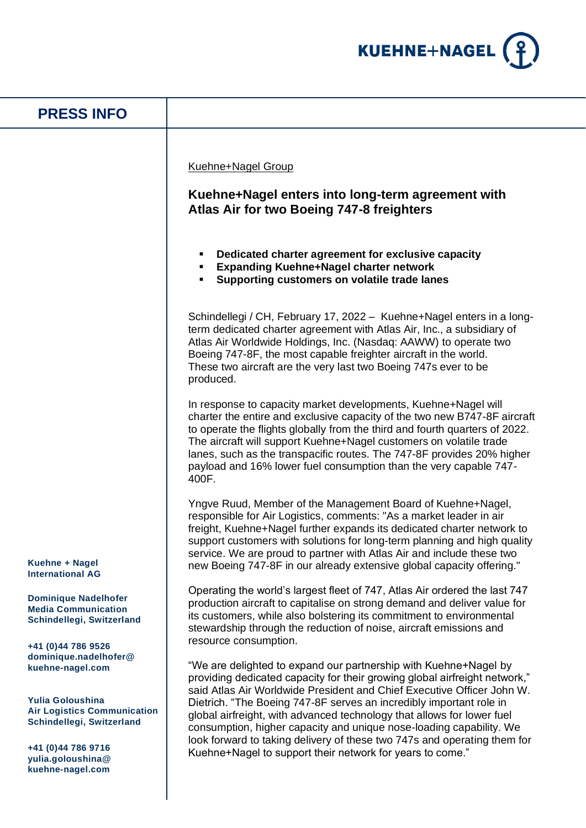